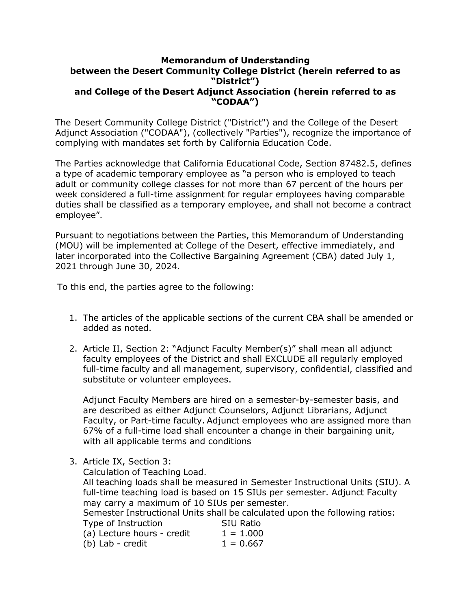## **Memorandum of Understanding between the Desert Community College District (herein referred to as "District") and College of the Desert Adjunct Association (herein referred to as "CODAA")**

The Desert Community College District ("District") and the College of the Desert Adjunct Association ("CODAA"), (collectively "Parties"), recognize the importance of complying with mandates set forth by California Education Code.

The Parties acknowledge that California Educational Code, Section 87482.5, defines a type of academic temporary employee as "a person who is employed to teach adult or community college classes for not more than 67 percent of the hours per week considered a full-time assignment for regular employees having comparable duties shall be classified as a temporary employee, and shall not become a contract employee".

Pursuant to negotiations between the Parties, this Memorandum of Understanding (MOU) will be implemented at College of the Desert, effective immediately, and later incorporated into the Collective Bargaining Agreement (CBA) dated July 1, 2021 through June 30, 2024.

To this end, the parties agree to the following:

- 1. The articles of the applicable sections of the current CBA shall be amended or added as noted.
- 2. Article II, Section 2: "Adjunct Faculty Member(s)" shall mean all adjunct faculty employees of the District and shall EXCLUDE all regularly employed full-time faculty and all management, supervisory, confidential, classified and substitute or volunteer employees.

Adjunct Faculty Members are hired on a semester-by-semester basis, and are described as either Adjunct Counselors, Adjunct Librarians, Adjunct Faculty, or Part-time faculty. Adjunct employees who are assigned more than 67% of a full-time load shall encounter a change in their bargaining unit, with all applicable terms and conditions

3. Article IX, Section 3:

Calculation of Teaching Load.

All teaching loads shall be measured in Semester Instructional Units (SIU). A full-time teaching load is based on 15 SIUs per semester. Adjunct Faculty may carry a maximum of 10 SIUs per semester.

Semester Instructional Units shall be calculated upon the following ratios:

| Type of Instruction        | <b>SIU Ratio</b> |
|----------------------------|------------------|
| (a) Lecture hours - credit | $1 = 1.000$      |
| (b) Lab - credit           | $1 = 0.667$      |